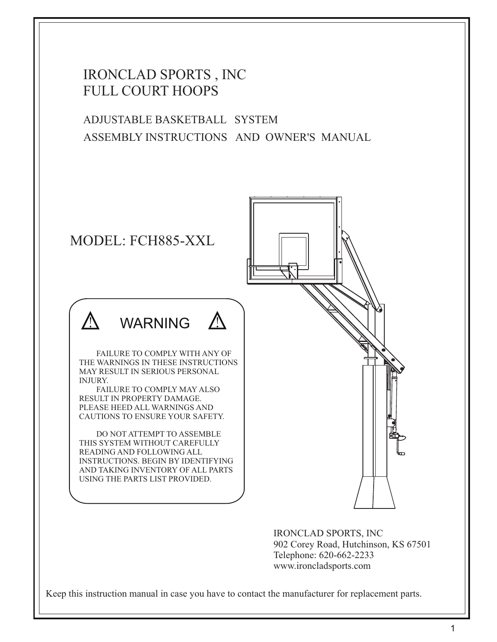# IRONCLAD SPORTS , INC FULL COURT HOOPS

ADJUSTABLE BASKETBALL SYSTEM ASSEMBLY INSTRUCTIONS AND OWNER'S MANUAL



IRONCLAD SPORTS, INC 902 Corey Road, Hutchinson, KS 67501 Telephone: 620-662-2233 www.ironcladsports.com

Keep this instruction manual in case you have to contact the manufacturer for replacement parts.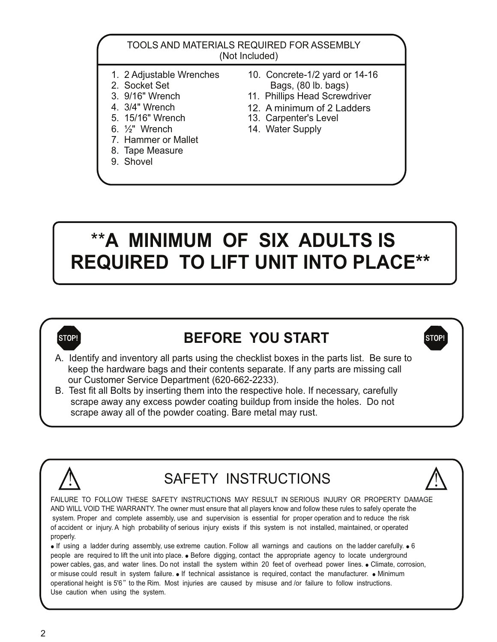#### TOOLS AND MATERIALS REQUIRED FOR ASSEMBLY (Not Included)

- 
- 
- 
- 4. 3/4" Wrench
- 
- 
- 7. Hammer or Mallet
- 8. Tape Measure
- 9. Shovel
- 1. 2 Adjustable Wrenches 10. Concrete-1/2 yard or 14-16<br>2. Socket Set 10. Bags. (80 lb. bags) 2. Socket Set Bags, (80 lb. bags)<br>3. 9/16" Wrench 11. Phillips Head Screw
	- 11. Phillips Head Screwdriver
	- 12. A minimum of 2 Ladders
- 5. 15/16" Wrench 13. Carpenter's Level<br>6. <sup>1</sup>/<sub>2</sub>" Wrench 14. Water Supply
	- 14. Water Supply

# \*\***A MINIMUM OF SIX ADULTS IS REQUIRED TO LIFT UNIT INTO PLACE\*\***



# **STOP! BEFORE YOU START STOP!**

A. Identify and inventory all parts using the checklist boxes in the parts list. Be sure to keep the hardware bags and their contents separate. If any parts are missing call our Customer Service Department (620-662-2233).

B. Test fit all Bolts by inserting them into the respective hole. If necessary, carefully scrape away any excess powder coating buildup from inside the holes. Do not scrape away all of the powder coating. Bare metal may rust.



# SAFETY INSTRUCTIONS



 $\bullet$  If using a ladder during assembly, use extreme caution. Follow all warnings and cautions on the ladder carefully.  $\bullet$  6 people are required to lift the unit into place. • Before digging, contact the appropriate agency to locate underground power cables, gas, and water lines. Do not install the system within 20 feet of overhead power lines. • Climate, corrosion, or misuse could result in system failure.  $\bullet$  If technical assistance is required, contact the manufacturer.  $\bullet$  Minimum operational height is 5'6" to the Rim. Most injuries are caused by misuse and /or failure to follow instructions. Use caution when using the system.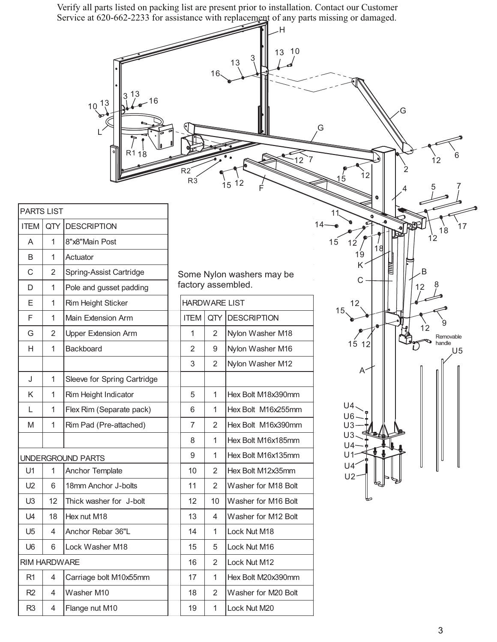Verify all parts listed on packing list are present prior to installation. Contact our Customer Service at 620-662-2233 for assistance with replacement of any parts missing or damaged.

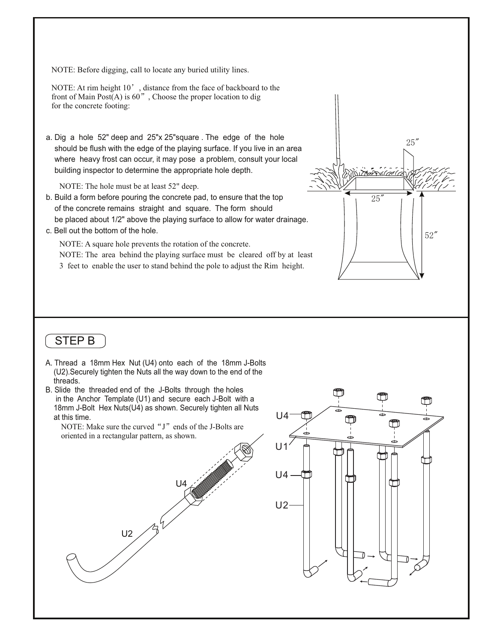NOTE: Before digging, call to locate any buried utility lines.

NOTE: At rim height 10', distance from the face of backboard to the front of Main Post $(A)$  is 60", Choose the proper location to dig for the concrete footing:

a. Dig a hole 52" deep and 25"x 25"square . The edge of the hole should be flush with the edge of the playing surface. If you live in an area where heavy frost can occur, it may pose a problem, consult your local building inspector to determine the appropriate hole depth.

NOTE: The hole must be at least 52" deep.

- b. Build a form before pouring the concrete pad, to ensure that the top of the concrete remains straight and square. The form should be placed about 1/2" above the playing surface to allow for water drainage.
- c. Bell out the bottom of the hole.

NOTE: A square hole prevents the rotation of the concrete. NOTE: The area behind the playing surface must be cleared off by at least 3 feet to enable the user to stand behind the pole to adjust the Rim height.

## STEP B

- A. Thread a 18mm Hex Nut (U4) onto each of the 18mm J-Bolts (U2).Securely tighten the Nuts all the way down to the end of the threads.
- B. Slide the threaded end of the J-Bolts through the holes in the Anchor Template (U1) and secure each J-Bolt with a 18mm J-Bolt Hex Nuts(U4) as shown. Securely tighten all Nuts at this time.

NOTE: Make sure the curved " $J$ " ends of the J-Bolts are oriented in a rectangular pattern, as shown.





25"

52"

25"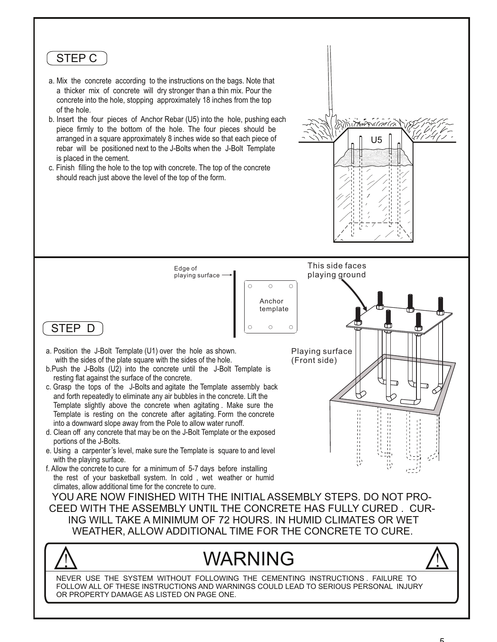### STEP C

- a. Mix the concrete according to the instructions on the bags. Note that a thicker mix of concrete will dry stronger than a thin mix. Pour the concrete into the hole, stopping approximately 18 inches from the top of the hole.
- b. Insert the four pieces of Anchor Rebar (U5) into the hole, pushing each piece firmly to the bottom of the hole. The four pieces should be arranged in a square approximately 8 inches wide so that each piece of rebar will be positioned next to the J-Bolts when the J-Bolt Template is placed in the cement.
- c. Finish filling the hole to the top with concrete. The top of the concrete should reach just above the level of the top of the form.

Edge of playing surface  $\circ$ 

 $\bigcirc$  $\bigcirc$ Anchor template  $\circ$ 

Playing surface

(Front side)

This side faces playing ground

J

カカカカカカカカカカカカカカツ

U5

ANITANY PO

STEP D

- a. Position the J-Bolt Template (U1) over the hole as shown. with the sides of the plate square with the sides of the hole.
- b.Push the J-Bolts (U2) into the concrete until the J-Bolt Template is resting flat against the surface of the concrete.
- c. Grasp the tops of the J-Bolts and agitate the Template assembly back and forth repeatedly to eliminate any air bubbles in the concrete. Lift the Template slightly above the concrete when agitating . Make sure the Template is resting on the concrete after agitating. Form the concrete into a downward slope away from the Pole to allow water runoff.
- d. Clean off any concrete that may be on the J-Bolt Template or the exposed portions of the J-Bolts.
- e. Using a carpenter's level, make sure the Template is square to and level with the playing surface.
- f. Allow the concrete to cure for a minimum of 5-7 days before installing the rest of your basketball system. In cold , wet weather or humid climates, allow additional time for the concrete to cure.

YOU ARE NOW FINISHED WITH THE INITIAL ASSEMBLY STEPS. DO NOT PRO-CEED WITH THE ASSEMBLY UNTIL THE CONCRETE HAS FULLY CURED . CUR-ING WILL TAKE A MINIMUM OF 72 HOURS. IN HUMID CLIMATES OR WET WEATHER, ALLOW ADDITIONAL TIME FOR THE CONCRETE TO CURE.

# WARNING



NEVER USE THE SYSTEM WITHOUT FOLLOWING THE CEMENTING INSTRUCTIONS . FAILURE TO FOLLOW ALL OF THESE INSTRUCTIONS AND WARNINGS COULD LEAD TO SERIOUS PERSONAL INJURY OR PROPERTY DAMAGE AS LISTED ON PAGE ONE.

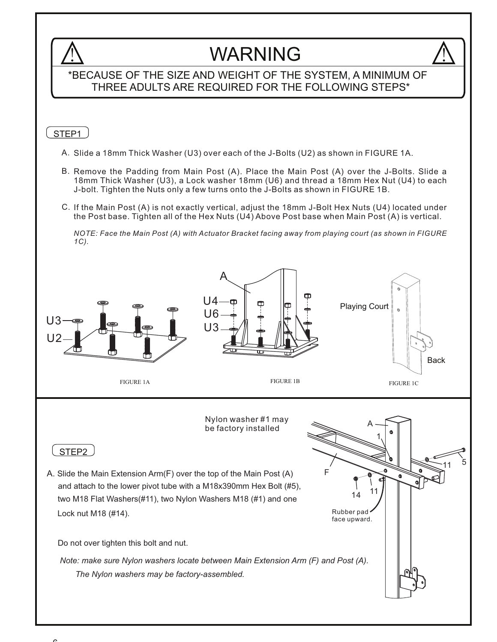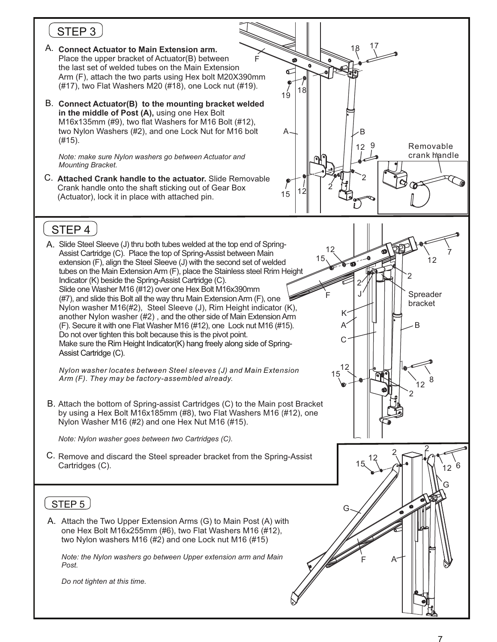# STEP<sub>3</sub>

- A. **Connect Actuator to Main Extension arm.** Place the upper bracket of Actuator(B) between Arm (F), attach the two parts using Hex bolt M20X390mm (#17), two Flat Washers M20 (#18), one Lock nut (#19). the last set of welded tubes on the Main Extension F
- B. **Connect Actuator(B) to the mounting bracket welded in the middle of Post (A),** using one Hex Bolt M16x135mm (#9), two flat Washers for M16 Bolt (#12), two Nylon Washers (#2), and one Lock Nut for M16 bolt (#15).

*Note: make sure Nylon washers go between Actuator and Mounting Bracket.*

C. **Attached Crank handle to the actuator.** Slide Removable Crank handle onto the shaft sticking out of Gear Box (Actuator), lock it in place with attached pin.



# STEP 4

A. Slide Steel Sleeve (J) thru both tubes welded at the top end of Spring-(#7), and slide this Bolt all the way thru Main Extension Arm (F), one Nylon washer M16(#2), Steel Sleeve (J), Rim Height indicator (K), another Nylon washer (#2) , and the other side of Main Extension Arm (F). Secure it with one Flat Washer M16 (#12), one Lock nut M16 (#15). Slide one Washer M16 (#12) over one Hex Bolt M16x390mm Assist Cartridge (C). Place the top of Spring-Assist between Main extension (F), align the Steel Sleeve (J) with the second set of welded tubes on the Main Extension Arm (F), place the Stainless steel Rrim Height Indicator (K) beside the Spring-Assist Cartridge (C). Do not over tighten this bolt because this is the pivot point. Make sure the Rim Height Indicator(K) hang freely along side of Spring-Assist Cartridge (C).

*Nylon washer locates between Steel sleeves (J) and Main Extension Arm (F). They may be factory-assembled already.*

B. Attach the bottom of Spring-assist Cartridges (C) to the Main post Bracket by using a Hex Bolt M16x185mm (#8), two Flat Washers M16 (#12), one Nylon Washer M16 (#2) and one Hex Nut M16 (#15).

*Note: Nylon washer goes between two Cartridges (C).*

C. Remove and discard the Steel spreader bracket from the Spring-Assist Cartridges (C).

### STEP<sub>5</sub>

A. Attach the Two Upper Extension Arms (G) to Main Post (A) with one Hex Bolt M16x255mm (#6), two Flat Washers M16 (#12), two Nylon washers M16 (#2) and one Lock nut M16 (#15)

*Note: the Nylon washers go between Upper extension arm and Main Post.*

*Do not tighten at this time.*

12

7

12

Spreader bracket

 $\mathfrak{p}$ 

B

G

2

 $i$ 12  $8$ 

2

 $12^{2}$ 

F A

G

12 15

F

15

J 2

K A

C

12 15